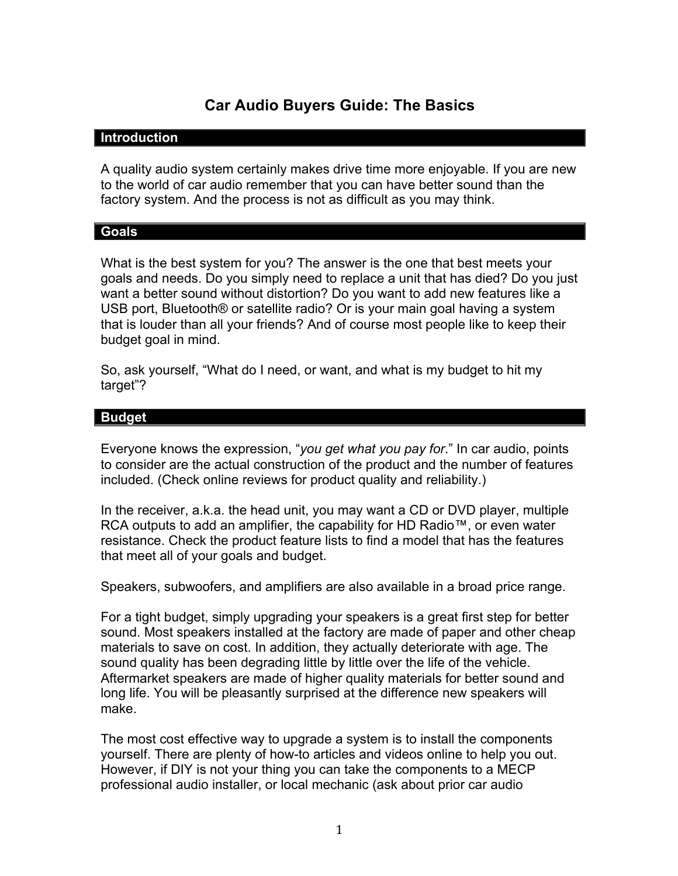# **Car Audio Buyers Guide: The Basics**

#### **Introduction**

A quality audio system certainly makes drive time more enjoyable. If you are new to the world of car audio remember that you can have better sound than the factory system. And the process is not as difficult as you may think.

#### **Goals**

What is the best system for you? The answer is the one that best meets your goals and needs. Do you simply need to replace a unit that has died? Do you just want a better sound without distortion? Do you want to add new features like a USB port, Bluetooth® or satellite radio? Or is your main goal having a system that is louder than all your friends? And of course most people like to keep their budget goal in mind.

So, ask yourself, "What do I need, or want, and what is my budget to hit my target"?

#### **Budget**

Everyone knows the expression, "*you get what you pay for*." In car audio, points to consider are the actual construction of the product and the number of features included. (Check online reviews for product quality and reliability.)

In the receiver, a.k.a. the head unit, you may want a CD or DVD player, multiple RCA outputs to add an amplifier, the capability for HD Radio™, or even water resistance. Check the product feature lists to find a model that has the features that meet all of your goals and budget.

Speakers, subwoofers, and amplifiers are also available in a broad price range.

For a tight budget, simply upgrading your speakers is a great first step for better sound. Most speakers installed at the factory are made of paper and other cheap materials to save on cost. In addition, they actually deteriorate with age. The sound quality has been degrading little by little over the life of the vehicle. Aftermarket speakers are made of higher quality materials for better sound and long life. You will be pleasantly surprised at the difference new speakers will make.

The most cost effective way to upgrade a system is to install the components yourself. There are plenty of how-to articles and videos online to help you out. However, if DIY is not your thing you can take the components to a MECP professional audio installer, or local mechanic (ask about prior car audio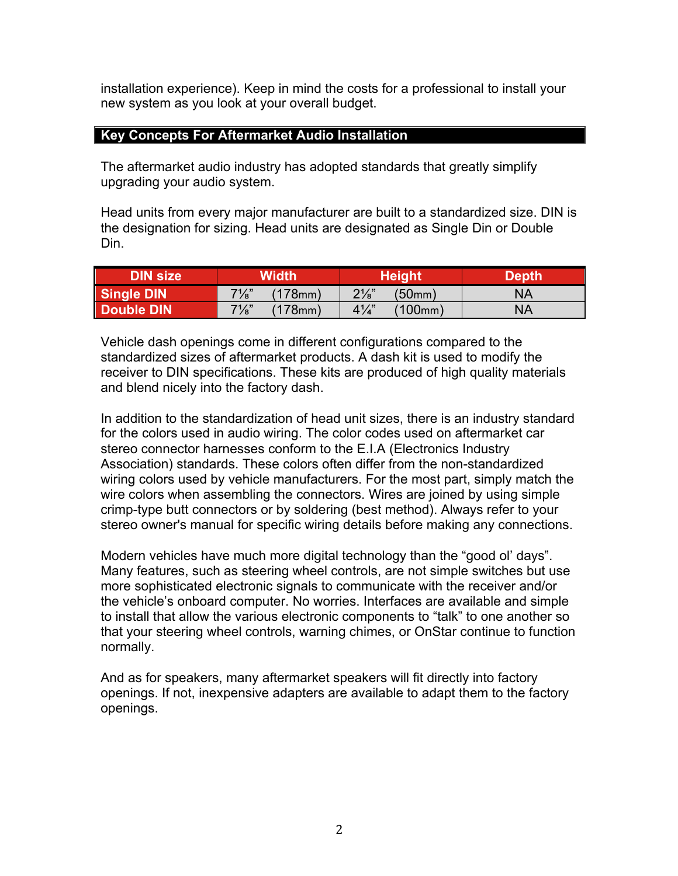installation experience). Keep in mind the costs for a professional to install your new system as you look at your overall budget.

### **Key Concepts For Aftermarket Audio Installation**

The aftermarket audio industry has adopted standards that greatly simplify upgrading your audio system.

Head units from every major manufacturer are built to a standardized size. DIN is the designation for sizing. Head units are designated as Single Din or Double Din.

| <b>DIN size</b> | Width'                         | Height                      | Depth |
|-----------------|--------------------------------|-----------------------------|-------|
| Single DIN      | $7\frac{1}{8}$ "<br>$178$ mm   | $2\frac{1}{8}$<br>(50mm)    | NA    |
| Double DIN      | $7\frac{1}{8}$ "<br>$(178)$ mm | $4\frac{1}{4}$<br>$'100$ mm | NA    |

Vehicle dash openings come in different configurations compared to the standardized sizes of aftermarket products. A dash kit is used to modify the receiver to DIN specifications. These kits are produced of high quality materials and blend nicely into the factory dash.

In addition to the standardization of head unit sizes, there is an industry standard for the colors used in audio wiring. The color codes used on aftermarket car stereo connector harnesses conform to the E.I.A (Electronics Industry Association) standards. These colors often differ from the non-standardized wiring colors used by vehicle manufacturers. For the most part, simply match the wire colors when assembling the connectors. Wires are joined by using simple crimp-type butt connectors or by soldering (best method). Always refer to your stereo owner's manual for specific wiring details before making any connections.

Modern vehicles have much more digital technology than the "good ol' days". Many features, such as steering wheel controls, are not simple switches but use more sophisticated electronic signals to communicate with the receiver and/or the vehicle's onboard computer. No worries. Interfaces are available and simple to install that allow the various electronic components to "talk" to one another so that your steering wheel controls, warning chimes, or OnStar continue to function normally.

And as for speakers, many aftermarket speakers will fit directly into factory openings. If not, inexpensive adapters are available to adapt them to the factory openings.